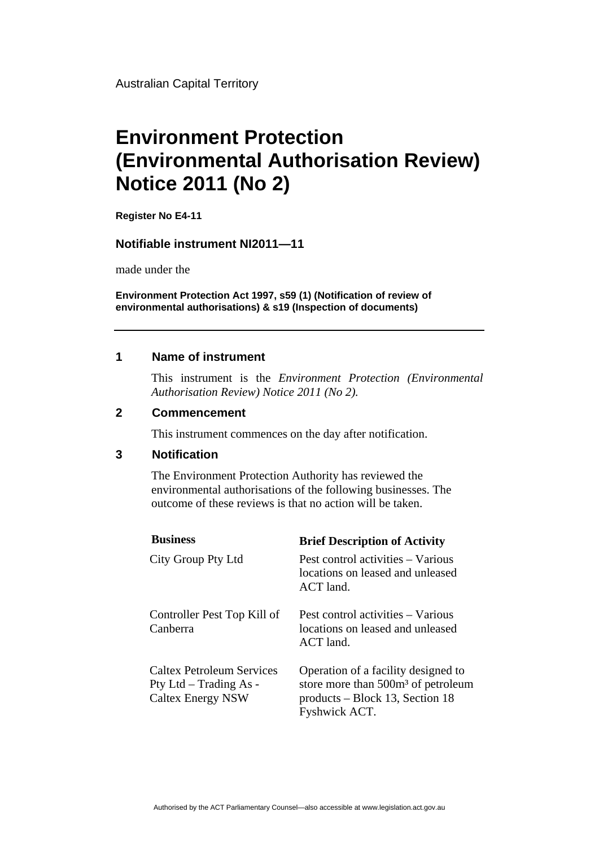Australian Capital Territory

# **Environment Protection (Environmental Authorisation Review) Notice 2011 (No 2)**

**Register No E4-11**

### **Notifiable instrument NI2011—11**

made under the

**Environment Protection Act 1997, s59 (1) (Notification of review of environmental authorisations) & s19 (Inspection of documents)**

### **1 Name of instrument**

This instrument is the *Environment Protection (Environmental Authorisation Review) Notice 2011 (No 2).* 

### **2 Commencement**

This instrument commences on the day after notification.

#### **3 Notification**

The Environment Protection Authority has reviewed the environmental authorisations of the following businesses. The outcome of these reviews is that no action will be taken.

| <b>Business</b>                                                                 | <b>Brief Description of Activity</b>                                                                                                      |
|---------------------------------------------------------------------------------|-------------------------------------------------------------------------------------------------------------------------------------------|
| City Group Pty Ltd                                                              | Pest control activities – Various<br>locations on leased and unleased<br>$ACT$ land.                                                      |
| Controller Pest Top Kill of<br>Canberra                                         | Pest control activities – Various<br>locations on leased and unleased<br>ACT land.                                                        |
| Caltex Petroleum Services<br>Pty Ltd – Trading As -<br><b>Caltex Energy NSW</b> | Operation of a facility designed to<br>store more than 500m <sup>3</sup> of petroleum<br>products – Block 13, Section 18<br>Fyshwick ACT. |